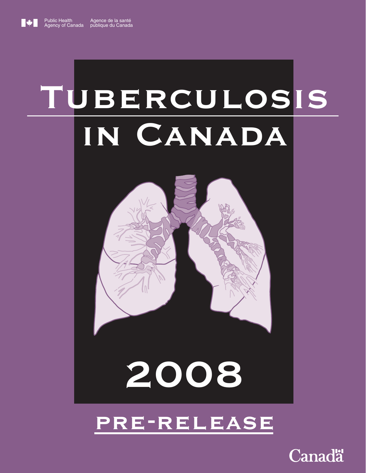# TUBERCULOSIS IN CANADA



# 2008

# pre-release

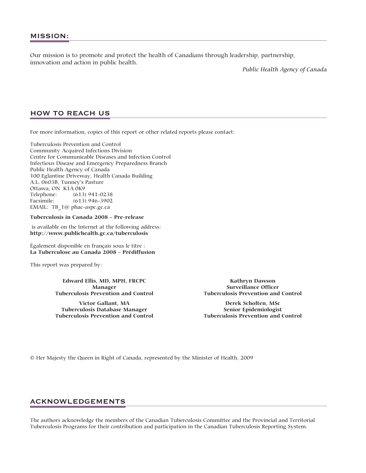Our mission is to promote and protect the health of Canadians through leadership, partnership, innovation and action in public health.

*Public Health Agency of Canada*

## HOW TO REACH US

For more information, copies of this report or other related reports please contact:

Tuberculosis Prevention and Control Community Acquired Infections Division Centre for Communicable Diseases and Infection Control Infectious Disease and Emergency Preparedness Branch Public Health Agency of Canada 100 Eglantine Driveway, Health Canada Building A.L. 0603B, Tunney's Pasture Ottawa, ON K1A 0K9 Telephone: (613) 941-0238 Facsimile: (613) 946-3902 EMAIL: TB\_1@ phac-aspc.gc.ca

## **Tuberculosis in Canada 2008 – Pre-release**

is available on the Internet at the following address: **http://www.publichealth.gc.ca/tuberculosis**

Également disponible en français sous le titre : **La Tuberculose au Canada 2008 – Prédiffusion**

This report was prepared by:

**Edward Ellis, MD, MPH, FRCPC Manager Tuberculosis Prevention and Control**

**Victor Gallant, MA Tuberculosis Database Manager Tuberculosis Prevention and Control**

**Kathryn Dawson Surveillance Officer Tuberculosis Prevention and Control**

**Derek Scholten, MSc Senior Epidemiologist Tuberculosis Prevention and Control**

© Her Majesty the Queen in Right of Canada, represented by the Minister of Health, 2009

## ACKNOWLEDGEMENTS

The authors acknowledge the members of the Canadian Tuberculosis Committee and the Provincial and Territorial Tuberculosis Programs for their contribution and participation in the Canadian Tuberculosis Reporting System.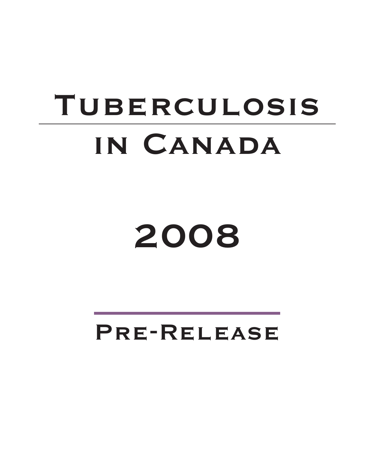# TUBERCULOSIS in Canada

2008

Pre-Release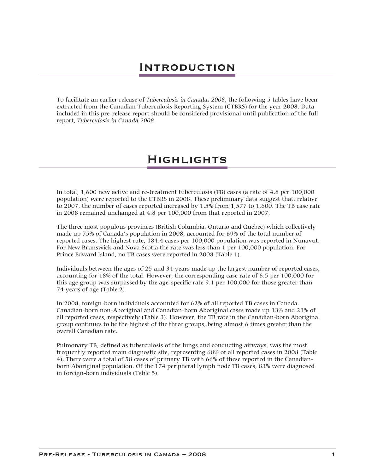To facilitate an earlier release of *Tuberculosis in Canada, 2008*, the following 5 tables have been extracted from the Canadian Tuberculosis Reporting System (CTBRS) for the year 2008. Data included in this pre-release report should be considered provisional until publication of the full report, *Tuberculosis in Canada 2008*.

## Highlights

In total, 1,600 new active and re-treatment tuberculosis (TB) cases (a rate of 4.8 per 100,000 population) were reported to the CTBRS in 2008. These preliminary data suggest that, relative to 2007, the number of cases reported increased by 1.5% from 1,577 to 1,600. The TB case rate in 2008 remained unchanged at 4.8 per 100,000 from that reported in 2007.

The three most populous provinces (British Columbia, Ontario and Quebec) which collectively made up 75% of Canada's population in 2008, accounted for 69% of the total number of reported cases. The highest rate, 184.4 cases per 100,000 population was reported in Nunavut. For New Brunswick and Nova Scotia the rate was less than 1 per 100,000 population. For Prince Edward Island, no TB cases were reported in 2008 (Table 1).

Individuals between the ages of 25 and 34 years made up the largest number of reported cases, accounting for 18% of the total. However, the corresponding case rate of 6.5 per 100,000 for this age group was surpassed by the age-specific rate 9.1 per 100,000 for those greater than 74 years of age (Table 2).

In 2008, foreign-born individuals accounted for 62% of all reported TB cases in Canada. Canadian-born non-Aboriginal and Canadian-born Aboriginal cases made up 13% and 21% of all reported cases, respectively (Table 3). However, the TB rate in the Canadian-born Aboriginal group continues to be the highest of the three groups, being almost 6 times greater than the overall Canadian rate.

Pulmonary TB, defined as tuberculosis of the lungs and conducting airways, was the most frequently reported main diagnostic site, representing 68% of all reported cases in 2008 (Table 4). There were a total of 58 cases of primary TB with 66% of these reported in the Canadianborn Aboriginal population. Of the 174 peripheral lymph node TB cases, 83% were diagnosed in foreign-born individuals (Table 5).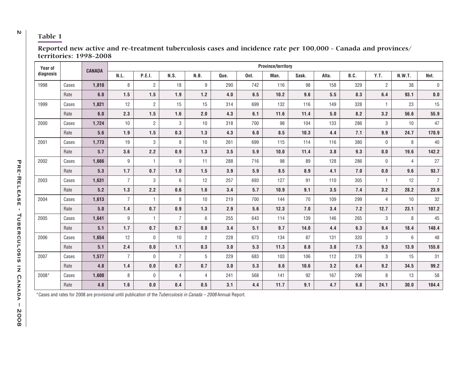## <sup>2</sup> **Table 1**

| Year of   |       | <b>CANADA</b>      |                  |                |                |                |      |      | <b>Province/territory</b> |       |       |      |                |                |                    |
|-----------|-------|--------------------|------------------|----------------|----------------|----------------|------|------|---------------------------|-------|-------|------|----------------|----------------|--------------------|
| diagnosis |       |                    | N.L.             | P.E.I.         | N.S.           | N.B.           | Que. | Ont. | Man.                      | Sask. | Alta. | B.C. | Y.T.           | <b>N.W.T.</b>  | Nvt.               |
| 1998      | Cases | 1,810              | 8                | $\overline{2}$ | 18             | $9\,$          | 290  | 742  | 116                       | 98    | 158   | 329  | $\overline{2}$ | 38             | $\mathbf 0$        |
|           | Rate  | $\boldsymbol{6.0}$ | 1.5              | 1.5            | 1.9            | $1.2$          | 4.0  | 6.5  | 10.2                      | 9.6   | 5.5   | 8.3  | 6.4            | 93.1           | $\boldsymbol{0.0}$ |
| 1999      | Cases | 1,821              | 12               | $\overline{2}$ | 15             | 15             | 314  | 699  | 132                       | 116   | 149   | 328  | $\mathbf{1}$   | 23             | 15                 |
|           | Rate  | 6.0                | 2.3              | 1.5            | 1.6            | 2.0            | 4.3  | 6.1  | 11.6                      | 11.4  | 5.0   | 8.2  | 3.2            | 56.6           | 55.9               |
| 2000      | Cases | 1,724              | 10               | $\overline{c}$ | 3              | 10             | 318  | 700  | 98                        | 104   | 133   | 286  | 3              | 10             | 47                 |
|           | Rate  | 5.6                | 1.9              | 1.5            | 0.3            | 1.3            | 4.3  | 6.0  | 8.5                       | 10.3  | 4.4   | 7.1  | 9.9            | 24.7           | 170.9              |
| 2001      | Cases | 1,773              | 19               | 3              | 8              | 10             | 261  | 699  | 115                       | 114   | 116   | 380  | $\mathbf 0$    | 8              | 40                 |
|           | Rate  | 5.7                | 3.6              | 2.2            | 0.9            | 1.3            | 3.5  | 5.9  | 10.0                      | 11.4  | 3.8   | 9.3  | 0.0            | 19.6           | 142.2              |
| 2002      | Cases | 1,666              | 9                | $\overline{1}$ | 9              | 11             | 288  | 716  | 98                        | 89    | 128   | 286  | $\mathbf{0}$   | $\overline{4}$ | 27                 |
|           | Rate  | $5.3\,$            | 1.7              | 0.7            | 1.0            | 1.5            | 3.9  | 5.9  | 8.5                       | 8.9   | 4.1   | 7.0  | $0.0\,$        | 9.6            | 93.7               |
| 2003      | Cases | 1,631              | $\overline{7}$   | 3              | 6              | 12             | 257  | 693  | 127                       | 91    | 110   | 305  | $\overline{1}$ | 12             | $\overline{7}$     |
|           | Rate  | 5.2                | 1.3              | 2.2            | 0.6            | 1.6            | 3.4  | 5.7  | 10.9                      | 9.1   | 3.5   | 7.4  | 3.2            | 28.2           | 23.9               |
| 2004      | Cases | 1,613              | $\overline{7}$   | $\overline{1}$ | 8              | 10             | 219  | 700  | 144                       | 70    | 109   | 299  | $\overline{4}$ | 10             | 32                 |
|           | Rate  | 5.0                | 1.4              | 0.7            | 0.9            | 1.3            | 2.9  | 5.6  | 12.3                      | 7.0   | 3.4   | 7.2  | 12.7           | 23.1           | 107.2              |
| 2005      | Cases | 1,641              | $\boldsymbol{9}$ | $\overline{1}$ | $\overline{7}$ | 6              | 255  | 643  | 114                       | 139   | 146   | 265  | 3              | 8              | 45                 |
|           | Rate  | 5.1                | 1.7              | 0.7            | 0.7            | 0.8            | 3.4  | 5.1  | 9.7                       | 14.0  | 4.4   | 6.3  | 9.4            | 18.4           | 148.4              |
| 2006      | Cases | 1,654              | 12               | 0              | 10             | $\overline{2}$ | 228  | 673  | 134                       | 87    | 131   | 320  | 3              | 6              | 48                 |
|           | Rate  | 5.1                | 2.4              | $\mathbf{0.0}$ | 1.1            | 0.3            | 3.0  | 5.3  | 11.3                      | 8.8   | 3.8   | 7.5  | 9.3            | 13.9           | 155.8              |
| 2007      | Cases | 1,577              | $\overline{7}$   | 0              | $\overline{7}$ | 5              | 229  | 683  | 103                       | 106   | 112   | 276  | 3              | 15             | 31                 |
|           | Rate  | 4.8                | 1.4              | 0.0            | 0.7            | 0.7            | 3.0  | 5.3  | 8.6                       | 10.6  | 3.2   | 6.4  | 9.2            | 34.5           | 99.2               |
| 2008*     | Cases | 1,600              | 8                | 0              | 4              | $\overline{4}$ | 241  | 568  | 141                       | 92    | 167   | 296  | 8              | 13             | 58                 |
|           | Rate  | 4.8                | 1.6              | $\mathbf{0.0}$ | 0.4            | 0.5            | 3.1  | 4.4  | 11.7                      | 9.1   | 4.7   | 6.8  | 24.1           | 30.0           | 184.4              |

**Reported new active and re-treatment tuberculosis cases and incidence rate per 100,000 - Canada and provinces/ territories: 1998-2008**

\*Cases and rates for 2008 are provisional until publication of the Tuberculosis in Canada – 2008 Annual Report.

PRE-RELEASE Pre-Release - Tuberculosis in Canada – 2008<br>Pre-Release - Tuberculosis in Canada – 2008  $\blacksquare$ TUBERCULOSIS IN CANADA - 2008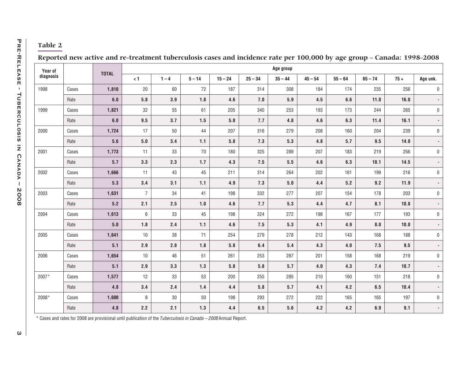| Reported new active and re-treatment tuberculosis cases and incidence rate per 100,000 by age group - Canada: 1998-2008 |  |
|-------------------------------------------------------------------------------------------------------------------------|--|

| Year of   |       |              |                |         |          |           |                    | Age group |           |           |           |        |          |
|-----------|-------|--------------|----------------|---------|----------|-----------|--------------------|-----------|-----------|-----------|-----------|--------|----------|
| diagnosis |       | <b>TOTAL</b> | $< 1$          | $1 - 4$ | $5 - 14$ | $15 - 24$ | $25 - 34$          | $35 - 44$ | $45 - 54$ | $55 - 64$ | $65 - 74$ | $75 +$ | Age unk. |
| 1998      | Cases | 1,810        | $20\,$         | $60\,$  | $72\,$   | 187       | 314                | 308       | 184       | 174       | 235       | 256    |          |
|           | Rate  | 6.0          | 5.8            | 3.9     | 1.8      | 4.6       | 7.0                | 5.9       | 4.5       | 6.6       | 11.0      | 16.0   |          |
| 1999      | Cases | 1,821        | 32             | 55      | 61       | 205       | 340                | 253       | 193       | 173       | 244       | 265    |          |
|           | Rate  | 6.0          | $9.5\,$        | 3.7     | 1.5      | $5.0$     | 7.7                | 4.8       | 4.6       | 6.3       | 11.4      | 16.1   |          |
| 2000      | Cases | 1,724        | 17             | $50\,$  | 44       | 207       | 316                | 279       | 208       | 160       | 204       | 239    |          |
|           | Rate  | 5.6          | $5.0\,$        | 3.4     | 1.1      | 5.0       | 7.3                | 5.3       | 4.8       | 5.7       | 9.5       | 14.0   |          |
| 2001      | Cases | 1,773        | 11             | 33      | 70       | 180       | 325                | 289       | 207       | 183       | 219       | 256    |          |
|           | Rate  | 5.7          | 3.3            | 2.3     | $1.7$    | 4.3       | 7.5                | 5.5       | 4.6       | 6.3       | 10.1      | 14.5   |          |
| 2002      | Cases | 1,666        | 11             | 43      | 45       | 211       | 314                | 264       | 202       | 161       | 199       | 216    |          |
|           | Rate  | 5.3          | 3.4            | 3.1     | 1.1      | 4.9       | 7.3                | 5.0       | 4.4       | 5.2       | 9.2       | 11.9   |          |
| 2003      | Cases | 1,631        | $\overline{7}$ | 34      | 41       | 198       | 332                | 277       | 207       | 154       | 178       | 203    |          |
|           | Rate  | 5.2          | 2.1            | 2.5     | $1.0$    | 4.6       | 7.7                | $5.3\,$   | 4.4       | 4.7       | 8.1       | 10.8   |          |
| 2004      | Cases | 1,613        | 6              | 33      | 45       | 198       | 324                | 272       | 198       | 167       | 177       | 193    |          |
|           | Rate  | 5.0          | 1.8            | $2.4$   | 1.1      | 4.6       | 7.5                | 5.3       | 4.1       | 4.9       | 8.0       | 10.0   |          |
| 2005      | Cases | 1,641        | 10             | 38      | 71       | 254       | 279                | 278       | 212       | 143       | 168       | 188    |          |
|           | Rate  | 5.1          | 2.9            | 2.8     | 1.8      | 5.8       | 6.4                | 5.4       | 4.3       | 4.0       | 7.5       | 9.5    |          |
| 2006      | Cases | 1,654        | $10$           | 46      | 51       | 261       | 253                | 287       | 201       | 158       | 168       | 219    |          |
|           | Rate  | 5.1          | 2.9            | 3.3     | 1.3      | 5.8       | 5.8                | 5.7       | 4.0       | 4.3       | 7.4       | 10.7   |          |
| 2007*     | Cases | 1,577        | 12             | 33      | 53       | 200       | 255                | 285       | 210       | 160       | 151       | 218    |          |
|           | Rate  | 4.8          | 3.4            | $2.4$   | $1.4$    | 4.4       | 5.8                | 5.7       | 4.1       | 4.2       | $6.5\,$   | 10.4   |          |
| 2008*     | Cases | 1,600        | 8              | 30      | 50       | 198       | 293                | 272       | 222       | 165       | 165       | 197    |          |
|           | Rate  | 4.8          | 2.2            | $2.1$   | $1.3$    | 4.4       | $\boldsymbol{6.5}$ | 5.6       | 4.2       | 4.2       | $6.9\,$   | 9.1    |          |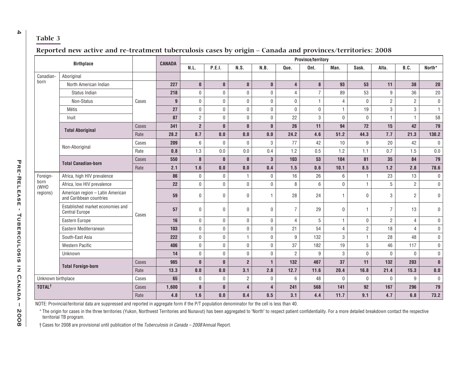|                    | <b>Birthplace</b>                                           |       | <b>CANADA</b> | <b>Province/territory</b> |                  |                  |                         |                         |                |                |                            |                |                |        |
|--------------------|-------------------------------------------------------------|-------|---------------|---------------------------|------------------|------------------|-------------------------|-------------------------|----------------|----------------|----------------------------|----------------|----------------|--------|
|                    |                                                             |       |               | N.L.                      | <b>P.E.I.</b>    | N.S.             | N.B.                    | Que.                    | Ont.           | Man.           | Sask.                      | Alta.          | B.C.           | North* |
| Canadian-          | Aboriginal                                                  |       |               |                           |                  |                  |                         |                         |                |                |                            |                |                |        |
| born               | North American Indian                                       |       | 227           | $\mathbf{0}$              | $\mathbf 0$      | $\mathbf 0$      | $\pmb{0}$               | $\overline{\mathbf{4}}$ | 8              | 93             | 53                         | 11             | 38             |        |
|                    | Status Indian                                               |       | 218           | $\mathbf 0$               | $\mathbf 0$      | $\mathbf 0$      | 0                       | 4                       | $\overline{7}$ | 89             | 53                         | 9              | 36             |        |
|                    | Non-Status                                                  | Cases | $\mathbf{g}$  | $\mathbf 0$               | $\boldsymbol{0}$ | $\mathbf 0$      | $\mathbf 0$             | $\mathbf 0$             | $\mathbf{1}$   | $\overline{4}$ | $\mathbf 0$                | $\overline{2}$ | $\overline{2}$ |        |
|                    | Métis                                                       |       | 27            | 0                         | $\mathbf 0$      | $\mathbf 0$      | 0                       | $\mathbf{0}$            | 0              | $\mathbf{1}$   | 19                         | 3              | 3              |        |
|                    | Inuit                                                       |       | 87            | $\overline{2}$            | $\boldsymbol{0}$ | $\pmb{0}$        | $\mathbf 0$             | 22                      | 3              | $\pmb{0}$      | $\pmb{0}$                  | $\mathbf{1}$   | $\mathbf{1}$   |        |
|                    |                                                             | Cases | 341           | $\boldsymbol{2}$          | $\mathbf 0$      | $\pmb{0}$        | $\pmb{0}$               | 26                      | 11             | 94             | 72                         | 15             | 42             |        |
|                    | <b>Total Aboriginal</b>                                     | Rate  | 28.2          | 8.7                       | 0.0              | $\mathbf{0.0}$   | $0.0\,$                 | 24.2                    | 4.6            | 51.2           | 44.3                       | 7.7            | 21.3           | 130.2  |
|                    |                                                             | Cases | 209           | 6                         | $\mathbf 0$      | $\mathbf 0$      | $\sqrt{3}$              | 77                      | 42             | 10             | $\boldsymbol{9}$           | 20             | 42             |        |
|                    | Non-Aboriginal                                              | Rate  | 0.8           | 1.3                       | $0.0\,$          | $0.0\,$          | 0.4                     | 1.2                     | 0.5            | 1.2            | 1.1                        | 0.7            | 1.5            |        |
|                    |                                                             | Cases | 550           | 8                         | $\mathbf{0}$     | $\mathbf{0}$     | $\mathbf 3$             | 103                     | 53             | 104            | 81                         | 35             | 84             |        |
|                    | <b>Total Canadian-born</b>                                  | Rate  | 2.1           | 1.6                       | 0.0              | 0.0              | 0.4                     | 1.5                     | $0.6\,$        | 10.1           | 8.5                        | $1.2$          | 2.8            |        |
| Foreign-           | Africa, high HIV prevalence                                 |       | 86            | $\mathbf 0$               | $\pmb{0}$        | $\mathbf{1}$     | $\pmb{0}$               | 16                      | 26             | 6              | $\mathbf{1}$               | 23             | 13             |        |
| born<br>(WHO       | Africa, low HIV prevalence                                  |       | 22            | 0                         | $\boldsymbol{0}$ | $\pmb{0}$        | $\mathbf 0$             | 8                       | 6              | $\pmb{0}$      | $\mathbf{1}$<br>$\sqrt{5}$ | $\overline{2}$ |                |        |
| regions)           | American region - Latin American<br>and Caribbean countries | Cases | 59            | 0                         | $\mathbf 0$      | $\mathbf 0$      | $\mathbf{1}$            | 28                      | 24             | $\mathbf{1}$   | $\mathbf{0}$               | 3              | $\overline{2}$ |        |
|                    | Established market economies and<br><b>Central Europe</b>   |       | 57            | 0                         | $\mathbf 0$      | $\mathbf 0$      | $\mathbf 0$             | $\overline{7}$          | 29             | $\mathbf 0$    | $\mathbf{1}$               | $\overline{7}$ | 13             |        |
|                    | Eastern Europe                                              |       | 16            | 0                         | $\pmb{0}$        | $\mathbf 0$      | $\mathbf 0$             | 4                       | 5              | $\mathbf{1}$   | $\mathbf 0$                | $\overline{2}$ | 4              |        |
|                    | Eastern Mediterranean                                       |       | 103           | 0                         | $\boldsymbol{0}$ | $\pmb{0}$        | $\pmb{0}$               | 21                      | 54             | $\overline{4}$ | $\overline{2}$             | 18             | 4              |        |
|                    | South-East Asia                                             |       | 222           | 0                         | $\mathbf 0$      | $\mathbf{1}$     | $\mathbf 0$             | 9                       | 132            | 3              | $\mathbf{1}$               | 28             | 48             |        |
|                    | <b>Western Pacific</b>                                      |       | 406           | 0                         | $\boldsymbol{0}$ | $\boldsymbol{0}$ | $\pmb{0}$               | 37                      | 182            | 19             | $5\,$                      | 46             | 117            |        |
|                    | Unknown                                                     |       | 14            | 0                         | $\mathbf 0$      | $\pmb{0}$        | $\pmb{0}$               | $\overline{2}$          | 9              | $\sqrt{3}$     | $\pmb{0}$                  | $\mathbf{0}$   | $\mathbf{0}$   |        |
|                    | <b>Total Foreign-born</b>                                   | Cases | 985           | 0                         | $\mathbf{0}$     | $\overline{2}$   | $\mathbf{1}$            | 132                     | 467            | 37             | 11                         | 132            | 203            |        |
|                    |                                                             | Rate  | 13.3          | 0.0                       | 0.0              | 3.1              | 2.8                     | 12.7                    | 11.6           | 20.4           | 16.8                       | 21.4           | 15.3           |        |
| Unknown birthplace |                                                             | Cases | 65            | $\mathbf 0$               | $\mathbf 0$      | $\overline{2}$   | $\mathbf 0$             | 6                       | 48             | $\mathbf 0$    | $\mathbf 0$                | $\mathbf{0}$   | 9              |        |
| TOTAL <sup>†</sup> |                                                             | Cases | 1,600         | 8                         | $\mathbf{0}$     | $\overline{4}$   | $\overline{\mathbf{4}}$ | 241                     | 568            | 141            | 92                         | 167            | 296            |        |
|                    |                                                             | Rate  | 4.8           | 1.6                       | 0.0              | 0.4              | 0.5                     | 3.1                     | 4.4            | 11.7           | 9.1                        | 4.7            | 6.8            |        |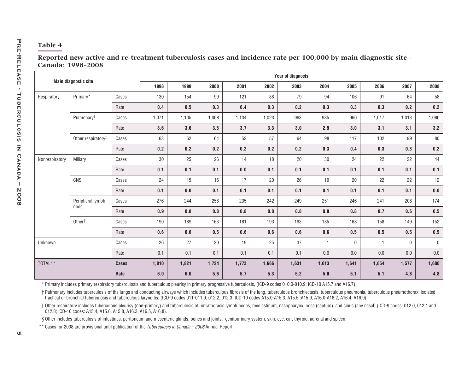| Year of diagnosis<br><b>Main diagnostic site</b> |                                                                                                                                                                                                                                                                                                                                                                                                                                                                                                                                                                                                                                                                                                       |              |                                                                    |       |       |       |       |       |       |              |                |             |       |
|--------------------------------------------------|-------------------------------------------------------------------------------------------------------------------------------------------------------------------------------------------------------------------------------------------------------------------------------------------------------------------------------------------------------------------------------------------------------------------------------------------------------------------------------------------------------------------------------------------------------------------------------------------------------------------------------------------------------------------------------------------------------|--------------|--------------------------------------------------------------------|-------|-------|-------|-------|-------|-------|--------------|----------------|-------------|-------|
|                                                  |                                                                                                                                                                                                                                                                                                                                                                                                                                                                                                                                                                                                                                                                                                       |              | 1998                                                               | 1999  | 2000  | 2001  | 2002  | 2003  | 2004  | 2005         | 2006           | 2007        | 2008  |
| Respiratory                                      | Primary*                                                                                                                                                                                                                                                                                                                                                                                                                                                                                                                                                                                                                                                                                              | Cases        | 130                                                                | 154   | 99    | 121   | 88    | 79    | 94    | 106          | 91             | 64          |       |
|                                                  |                                                                                                                                                                                                                                                                                                                                                                                                                                                                                                                                                                                                                                                                                                       | Rate         | 0.4                                                                | 0.5   | 0.3   | 0.4   | 0.3   | 0.2   | 0.3   | 0.3          | 0.3            | 0.2         | 0.2   |
|                                                  | Pulmonary <sup>t</sup>                                                                                                                                                                                                                                                                                                                                                                                                                                                                                                                                                                                                                                                                                | Cases        | 1,071                                                              | 1,105 | 1,068 | 1,134 | 1,023 | 963   | 935   | 960          | 1,017          | 1,013       | 1,080 |
|                                                  |                                                                                                                                                                                                                                                                                                                                                                                                                                                                                                                                                                                                                                                                                                       | Rate         | 3.6                                                                | 3.6   | 3.5   | 3.7   | 3.3   | 3.0   | 2.9   | 3.0          | 3.1            | 3.1         | 3.2   |
|                                                  | Other respiratory#                                                                                                                                                                                                                                                                                                                                                                                                                                                                                                                                                                                                                                                                                    | Cases        | 63                                                                 | 62    | 64    | 52    | 57    | 64    | 98    | 117          | 102            | 99          |       |
|                                                  |                                                                                                                                                                                                                                                                                                                                                                                                                                                                                                                                                                                                                                                                                                       | Rate         | 0.2                                                                | 0.2   | 0.2   | 0.2   | 0.2   | 0.2   | 0.3   | 0.4          | 0.3            | 0.3         | 0.2   |
| Nonrespiratory                                   | <b>Miliary</b>                                                                                                                                                                                                                                                                                                                                                                                                                                                                                                                                                                                                                                                                                        | Cases        | 30                                                                 | 25    | 26    | 14    | 18    | 20    | 30    | 24           | 22             | 22          |       |
|                                                  |                                                                                                                                                                                                                                                                                                                                                                                                                                                                                                                                                                                                                                                                                                       | Rate         | 0.1                                                                | 0.1   | 0.1   | 0.0   | 0.1   | 0.1   | 0.1   | 0.1          | 0.1            | 0.1         | 0.1   |
|                                                  | CNS                                                                                                                                                                                                                                                                                                                                                                                                                                                                                                                                                                                                                                                                                                   | Cases        | 24                                                                 | 15    | 16    | 17    | 20    | 26    | 19    | 20           | 22             | 22          | 12    |
|                                                  |                                                                                                                                                                                                                                                                                                                                                                                                                                                                                                                                                                                                                                                                                                       | Rate         | 0.1                                                                | 0.0   | 0.1   | 0.1   | 0.1   | 0.1   | 0.1   | 0.1          | 0.1            | 0.1         | 0.0   |
|                                                  | Peripheral lymph                                                                                                                                                                                                                                                                                                                                                                                                                                                                                                                                                                                                                                                                                      | Cases        | 276                                                                | 244   | 258   | 235   | 242   | 249   | 251   | 246          | 241            | 208         | 174   |
|                                                  | node                                                                                                                                                                                                                                                                                                                                                                                                                                                                                                                                                                                                                                                                                                  | Rate         | 0.9                                                                | 0.8   | 0.8   | 0.8   | 0.8   | 0.8   | 0.8   | 0.8          | 0.7            | 0.6         | 0.5   |
|                                                  | Other <sup>§</sup>                                                                                                                                                                                                                                                                                                                                                                                                                                                                                                                                                                                                                                                                                    | Cases        | 190<br>189<br>163<br>181<br>193<br>193<br>185<br>168<br>158<br>149 | 152   |       |       |       |       |       |              |                |             |       |
|                                                  |                                                                                                                                                                                                                                                                                                                                                                                                                                                                                                                                                                                                                                                                                                       | Rate         | 0.6                                                                | 0.6   | 0.5   | 0.6   | 0.6   | 0.6   | 0.6   | 0.5          | 0.5            | 0.5         | 0.5   |
| Unknown                                          |                                                                                                                                                                                                                                                                                                                                                                                                                                                                                                                                                                                                                                                                                                       | Cases        | 26                                                                 | 27    | 30    | 19    | 25    | 37    | -1    | $\mathbf{0}$ | $\overline{1}$ | $\mathbf 0$ |       |
|                                                  |                                                                                                                                                                                                                                                                                                                                                                                                                                                                                                                                                                                                                                                                                                       | Rate         | 0.1                                                                | 0.1   | 0.1   | 0.1   | 0.1   | 0.1   | 0.0   | 0.0          | 0.0            | 0.0         | 0.0   |
| TOTAL**                                          |                                                                                                                                                                                                                                                                                                                                                                                                                                                                                                                                                                                                                                                                                                       | <b>Cases</b> | 1,810                                                              | 1,821 | 1,724 | 1,773 | 1,666 | 1,631 | 1,613 | 1,641        | 1,654          | 1,577       | 1,600 |
|                                                  |                                                                                                                                                                                                                                                                                                                                                                                                                                                                                                                                                                                                                                                                                                       | Rate         | 6.0                                                                | 6.0   | 5.6   | 5.7   | 5.3   | 5.2   | 5.0   | 5.1          | 5.1            | 4.8         | 4.8   |
|                                                  | * Primary includes primary respiratory tuberculosis and tuberculous pleurisy in primary progressive tuberculosis, (ICD-9 codes 010.0-010.9; ICD-10 A15.7 and A16.7).                                                                                                                                                                                                                                                                                                                                                                                                                                                                                                                                  |              |                                                                    |       |       |       |       |       |       |              |                |             |       |
|                                                  | † Pulmonary includes tuberculosis of the lungs and conducting airways which includes tuberculous fibrosis of the lung, tuberculous bronchiectasis, tuberculous pneumonia, tuberculous pneumonia, tuberculous pneumothorax, iso<br>tracheal or bronchial tuberculosis and tuberculous laryngitis; (ICD-9 codes 011-011.9, 012.2, 012.3; ICD-10 codes A15.0-A15.3, A15.5, A15.5, A16.0-A16.2, A16.2, A16.4, A16.9).<br>‡ Other respiratory includes tuberculous pleurisy (non-primary) and tuberculosis of: intrathoracic lymph nodes, mediastinum, nasopharynx, nose (septum), and sinus (any nasal) (ICD-9 codes: 012.0, 012.1 and<br>012.8; ICD-10 codes: A15.4, A15.6, A15.8, A16.3, A16.5, A16.8). |              |                                                                    |       |       |       |       |       |       |              |                |             |       |